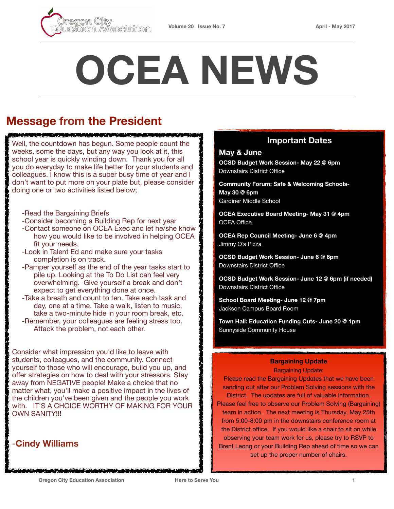

# **OCEA NEWS**

## **Message from the President**

Well, the countdown has begun. Some people count the weeks, some the days, but any way you look at it, this school year is quickly winding down. Thank you for all you do everyday to make life better for your students and colleagues. I know this is a super busy time of year and I don't want to put more on your plate but, please consider doing one or two activities listed below;

<u>MELINDIAN MELEMPAT TAHUN BERTAMBAN</u>

- -Read the Bargaining Briefs
- -Consider becoming a Building Rep for next year
- -Contact someone on OCEA Exec and let he/she know how you would like to be involved in helping OCEA fit your needs.
- -Look in Talent Ed and make sure your tasks completion is on track.
- -Pamper yourself as the end of the year tasks start to pile up. Looking at the To Do List can feel very overwhelming. Give yourself a break and don't expect to get everything done at once.
- -Take a breath and count to ten. Take each task and day, one at a time. Take a walk, listen to music, take a two-minute hide in your room break, etc.
- -Remember, your colleagues are feeling stress too. Attack the problem, not each other.

Consider what impression you'd like to leave with students, colleagues, and the community. Connect yourself to those who will encourage, build you up, and offer strategies on how to deal with your stressors. Stay away from NEGATIVE people! Make a choice that no matter what, you'll make a positive impact in the lives of the children you've been given and the people you work with. IT'S A CHOICE WORTHY OF MAKING FOR YOUR **OWN SANITY!!!** 

## -**Cindy Williams**

#### **Important Dates**

#### **May & June**

**OCSD Budget Work Session- May 22 @ 6pm**  Downstairs District Office

**Community Forum: Safe & Welcoming Schools-May 30 @ 6pm**  Gardiner Middle School

**OCEA Executive Board Meeting- May 31 @ 4pm**  OCEA Office

**OCEA Rep Council Meeting- June 6 @ 4pm** Jimmy O's Pizza

**OCSD Budget Work Session- June 6 @ 6pm**  Downstairs District Office

**OCSD Budget Work Session- June 12 @ 6pm (if needed)**  Downstairs District Office

**School Board Meeting- June 12 @ 7pm**  Jackson Campus Board Room

**[Town Hall: Education Funding Cuts](http://www.portlandmercury.com/events/19020652/death-by-a-thousand-cuts-a-public-education-funding-town-hall)- June 20 @ 1pm**  Sunnyside Community House

#### **Bargaining Update**

Bargaining Update:

Please read the Bargaining Updates that we have been sending out after our Problem Solving sessions with the District. The updates are full of valuable information. Please feel free to observe our Problem Solving (Bargaining) team in action. The next meeting is Thursday, May 25th from 5:00-8:00 pm in the downstairs conference room at the District office. If you would like a chair to sit on while observing your team work for us, please try to RSVP to [Brent Leong o](mailto:Brent.Leong@orecity.k12.or.us?subject=Bargaining%20Update)r your Building Rep ahead of time so we can set up the proper number of chairs.